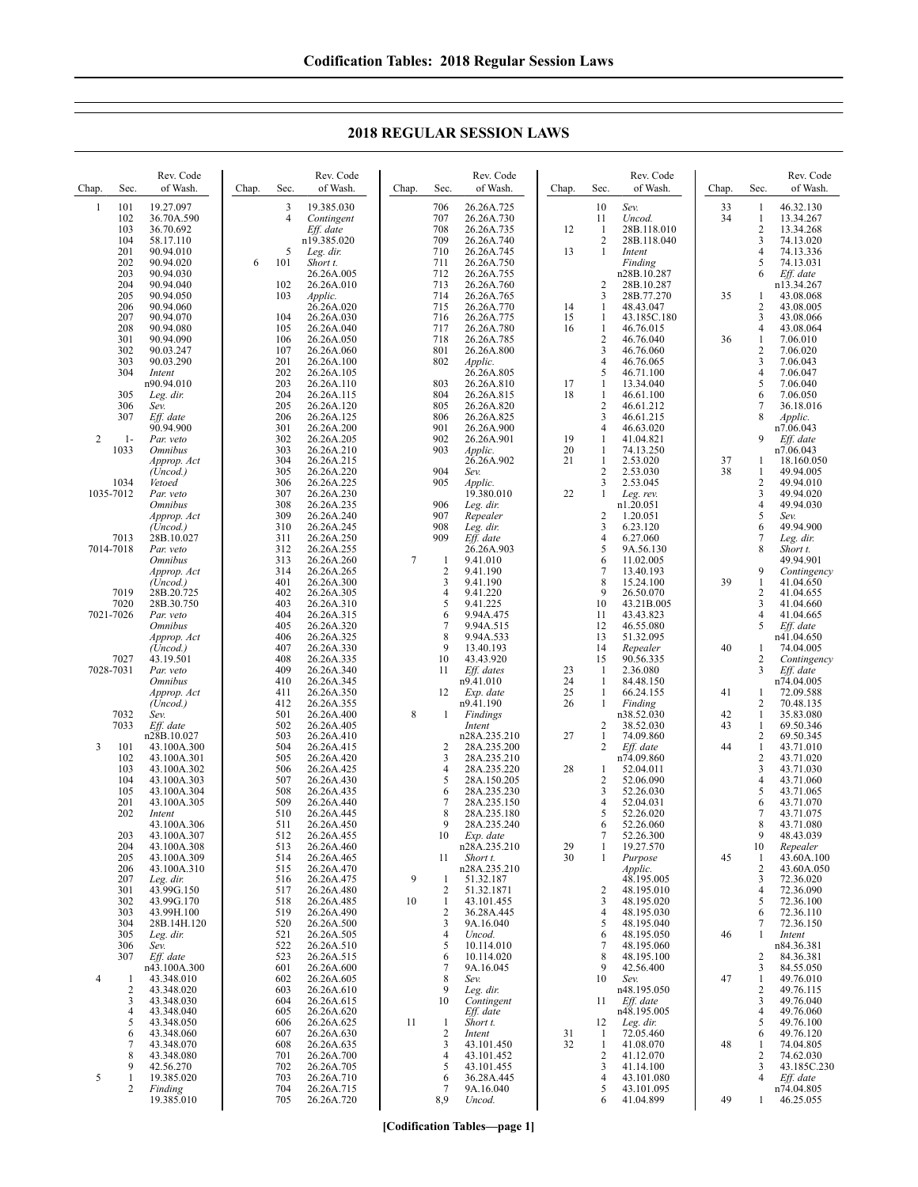## **2018 REGULAR SESSION LAWS**

| Chap.          | Sec.       | Rev. Code<br>of Wash.       | Chap. | Sec.       | Rev. Code<br>of Wash.    | Chap.          | Sec.                           | Rev. Code<br>of Wash.       | Chap.    | Sec.                             | Rev. Code<br>of Wash.     | Chap.    | Sec.                           | Rev. Code<br>of Wash.    |
|----------------|------------|-----------------------------|-------|------------|--------------------------|----------------|--------------------------------|-----------------------------|----------|----------------------------------|---------------------------|----------|--------------------------------|--------------------------|
| 1              | 101        | 19.27.097                   |       | 3          | 19.385.030               |                | 706                            | 26.26A.725                  |          | 10                               | Sev.                      | 33       | 1                              | 46.32.130                |
|                | 102<br>103 | 36.70A.590<br>36.70.692     |       | 4          | Contingent<br>Eff. date  |                | 707<br>708                     | 26.26A.730<br>26.26A.735    | 12       | 11<br>-1                         | Uncod.<br>28B.118.010     | 34       | 1<br>$\overline{c}$            | 13.34.267<br>13.34.268   |
|                | 104        | 58.17.110                   |       |            | n19.385.020              |                | 709                            | 26.26A.740                  |          | 2                                | 28B.118.040               |          | 3                              | 74.13.020                |
|                | 201<br>202 | 90.94.010<br>90.94.020      | 6     | 5<br>101   | Leg. dir.<br>Short t.    |                | 710<br>711                     | 26.26A.745<br>26.26A.750    | 13       | $\mathbf{1}$                     | Intent<br>Finding         |          | $\overline{4}$<br>5            | 74.13.336<br>74.13.031   |
|                | 203<br>204 | 90.94.030<br>90.94.040      |       | 102        | 26.26A.005<br>26.26A.010 |                | 712<br>713                     | 26.26A.755<br>26.26A.760    |          | $\overline{2}$                   | n28B.10.287<br>28B.10.287 |          | 6                              | Eff. date<br>n13.34.267  |
|                | 205        | 90.94.050                   |       | 103        | Applic.                  |                | 714                            | 26.26A.765                  |          | $\overline{\mathbf{3}}$          | 28B.77.270                | 35       | 1                              | 43.08.068                |
|                | 206<br>207 | 90.94.060<br>90.94.070      |       | 104        | 26.26A.020<br>26.26A.030 |                | 715<br>716                     | 26.26A.770<br>26.26A.775    | 14<br>15 | -1<br>-1                         | 48.43.047<br>43.185C.180  |          | 2<br>3                         | 43.08.005<br>43.08.066   |
|                | 208        | 90.94.080                   |       | 105        | 26.26A.040               |                | 717                            | 26.26A.780                  | 16       | $\mathbf{1}$                     | 46.76.015                 |          | $\overline{4}$                 | 43.08.064                |
|                | 301<br>302 | 90.94.090<br>90.03.247      |       | 106<br>107 | 26.26A.050<br>26.26A.060 |                | 718<br>801                     | 26.26A.785<br>26.26A.800    |          | $\overline{2}$<br>3              | 46.76.040<br>46.76.060    | 36       | $\mathbf{1}$<br>2              | 7.06.010<br>7.06.020     |
|                | 303        | 90.03.290                   |       | 201        | 26.26A.100               |                | 802                            | Applic.                     |          | $\overline{4}$                   | 46.76.065                 |          | 3                              | 7.06.043                 |
|                | 304        | Intent<br>n90.94.010        |       | 202<br>203 | 26.26A.105<br>26.26A.110 |                | 803                            | 26.26A.805<br>26.26A.810    | 17       | 5<br>-1                          | 46.71.100<br>13.34.040    |          | $\overline{4}$<br>5            | 7.06.047<br>7.06.040     |
|                | 305<br>306 | Leg. dir.<br>Sev.           |       | 204<br>205 | 26.26A.115<br>26.26A.120 |                | 804<br>805                     | 26.26A.815<br>26.26A.820    | 18       | $\mathbf{1}$<br>$\overline{2}$   | 46.61.100<br>46.61.212    |          | 6<br>7                         | 7.06.050<br>36.18.016    |
|                | 307        | Eff. date                   |       | 206        | 26.26A.125               |                | 806                            | 26.26A.825                  |          | 3                                | 46.61.215                 |          | 8                              | Applic.                  |
| $\overline{c}$ | $1-$       | 90.94.900<br>Par. veto      |       | 301<br>302 | 26.26A.200<br>26.26A.205 |                | 901<br>902                     | 26.26A.900<br>26.26A.901    | 19       | $\overline{4}$<br>$\mathbf{1}$   | 46.63.020<br>41.04.821    |          | 9                              | n7.06.043<br>Eff. date   |
|                | 1033       | <b>Omnibus</b>              |       | 303        | 26.26A.210               |                | 903                            | Applic.                     | 20       | 1                                | 74.13.250                 |          |                                | n7.06.043                |
|                |            | Approp. Act<br>(Uncod.)     |       | 304<br>305 | 26.26A.215<br>26.26A.220 |                | 904                            | 26.26A.902<br>Sev.          | 21       | 1<br>$\overline{2}$              | 2.53.020<br>2.53.030      | 37<br>38 | 1<br>1                         | 18.160.050<br>49.94.005  |
|                | 1034       | Vetoed                      |       | 306        | 26.26A.225               |                | 905                            | Applic.                     |          | 3                                | 2.53.045                  |          | 2                              | 49.94.010                |
|                | 1035-7012  | Par. veto<br><b>Omnibus</b> |       | 307<br>308 | 26.26A.230<br>26.26A.235 |                | 906                            | 19.380.010<br>Leg. dir.     | 22       | $\mathbf{1}$                     | Leg. rev.<br>n1.20.051    |          | 3<br>$\overline{\mathbf{4}}$   | 49.94.020<br>49.94.030   |
|                |            | Approp. Act                 |       | 309<br>310 | 26.26A.240<br>26.26A.245 |                | 907<br>908                     | Repealer                    |          | $\overline{2}$<br>$\mathfrak{Z}$ | 1.20.051<br>6.23.120      |          | 5<br>6                         | Sev.<br>49.94.900        |
|                | 7013       | (Uncod.)<br>28B.10.027      |       | 311        | 26.26A.250               |                | 909                            | Leg. dir.<br>Eff. date      |          | $\overline{4}$                   | 6.27.060                  |          | 7                              | Leg. dir.                |
|                | 7014-7018  | Par: veto<br><b>Omnibus</b> |       | 312<br>313 | 26.26A.255<br>26.26A.260 | $\overline{7}$ | $\mathbf{1}$                   | 26.26A.903<br>9.41.010      |          | 5<br>6                           | 9A.56.130<br>11.02.005    |          | 8                              | Short t.<br>49.94.901    |
|                |            | Approp. Act                 |       | 314        | 26.26A.265               |                | $\overline{2}$                 | 9.41.190                    |          | $\overline{7}$                   | 13.40.193                 |          | 9                              | Contingency              |
|                | 7019       | (Uncod.)<br>28B.20.725      |       | 401<br>402 | 26.26A.300<br>26.26A.305 |                | 3<br>$\overline{4}$            | 9.41.190<br>9.41.220        |          | 8<br>9                           | 15.24.100<br>26.50.070    | 39       | $\mathbf{1}$<br>2              | 41.04.650<br>41.04.655   |
|                | 7020       | 28B.30.750                  |       | 403        | 26.26A.310               |                | 5                              | 9.41.225                    |          | 10                               | 43.21B.005                |          | 3                              | 41.04.660                |
|                | 7021-7026  | Par. veto<br><b>Omnibus</b> |       | 404<br>405 | 26.26A.315<br>26.26A.320 |                | 6<br>7                         | 9.94A.475<br>9.94A.515      |          | 11<br>12                         | 43.43.823<br>46.55.080    |          | $\overline{4}$<br>5            | 41.04.665<br>Eff. date   |
|                |            | Approp. Act                 |       | 406<br>407 | 26.26A.325               |                | 8<br>9                         | 9.94A.533                   |          | 13<br>14                         | 51.32.095                 | 40       |                                | n41.04.650               |
|                | 7027       | (Uncod.)<br>43.19.501       |       | 408        | 26.26A.330<br>26.26A.335 |                | 10                             | 13.40.193<br>43.43.920      |          | 15                               | Repealer<br>90.56.335     |          | 1<br>$\overline{c}$            | 74.04.005<br>Contingency |
|                | 7028-7031  | Par. veto<br><b>Omnibus</b> |       | 409<br>410 | 26.26A.340<br>26.26A.345 |                | 11                             | Eff. dates<br>n9.41.010     | 23<br>24 | -1<br>$\mathbf{1}$               | 2.36.080<br>84.48.150     |          | 3                              | Eff. date<br>n74.04.005  |
|                |            | Approp. Act                 |       | 411        | 26.26A.350               |                | 12                             | Exp. date                   | 25       | $\mathbf{1}$                     | 66.24.155                 | 41       | 1                              | 72.09.588                |
|                | 7032       | (Uncod.)<br>Sev.            |       | 412<br>501 | 26.26A.355<br>26.26A.400 | 8              | 1                              | n9.41.190<br>Findings       | 26       | -1                               | Finding<br>n38.52.030     | 42       | 2<br>1                         | 70.48.135<br>35.83.080   |
|                | 7033       | Eff. date                   |       | 502        | 26.26A.405               |                |                                | Intent                      |          | $\overline{c}$                   | 38.52.030                 | 43       | $\mathbf{1}$                   | 69.50.346                |
| 3              | 101        | n28B.10.027<br>43.100A.300  |       | 503<br>504 | 26.26A.410<br>26.26A.415 |                | 2                              | n28A.235.210<br>28A.235.200 | 27       | $\mathbf{1}$<br>$\overline{c}$   | 74.09.860<br>Eff. date    | 44       | $\overline{c}$<br>$\mathbf{1}$ | 69.50.345<br>43.71.010   |
|                | 102<br>103 | 43.100A.301<br>43.100A.302  |       | 505<br>506 | 26.26A.420<br>26.26A.425 |                | 3<br>4                         | 28A.235.210<br>28A.235.220  | 28       | -1                               | n74.09.860<br>52.04.011   |          | $\sqrt{2}$<br>$\mathfrak{Z}$   | 43.71.020<br>43.71.030   |
|                | 104        | 43.100A.303                 |       | 507        | 26.26A.430               |                | 5                              | 28A.150.205                 |          | $\overline{2}$                   | 52.06.090                 |          | $\overline{4}$                 | 43.71.060                |
|                | 105<br>201 | 43.100A.304<br>43.100A.305  |       | 508<br>509 | 26.26A.435<br>26.26A.440 |                | 6<br>7                         | 28A.235.230<br>28A.235.150  |          | 3<br>$\overline{4}$              | 52.26.030<br>52.04.031    |          | 5<br>6                         | 43.71.065<br>43.71.070   |
|                | 202        | Intent                      |       | 510        | 26.26A.445               |                | 8                              | 28A.235.180                 |          | 5                                | 52.26.020                 |          | $\overline{7}$                 | 43.71.075                |
|                | 203        | 43.100A.306<br>43.100A.307  |       | 511<br>512 | 26.26A.450<br>26.26A.455 |                | 9<br>10                        | 28A.235.240<br>Exp. date    |          | 6<br>7                           | 52.26.060<br>52.26.300    |          | 8<br>9                         | 43.71.080<br>48.43.039   |
|                | 204<br>205 | 43.100A.308<br>43.100A.309  |       | 513<br>514 | 26.26A.460<br>26.26A.465 |                | 11                             | n28A.235.210<br>Short t.    | 29<br>30 | 1<br>1                           | 19.27.570<br>Purpose      | 45       | 10<br>1                        | Repealer<br>43.60A.100   |
|                | 206        | 43.100A.310                 |       | 515        | 26.26A.470               |                |                                | n28A.235.210                |          |                                  | Applic.                   |          | 2                              | 43.60A.050               |
|                | 207<br>301 | Leg. dir.<br>43.99G.150     |       | 516<br>517 | 26.26A.475<br>26.26A.480 | 9              | $\mathbf{1}$<br>$\overline{2}$ | 51.32.187<br>51.32.1871     |          | 2                                | 48.195.005<br>48.195.010  |          | 3<br>$\overline{4}$            | 72.36.020<br>72.36.090   |
|                | 302        | 43.99G.170                  |       | 518        | 26.26A.485               | 10             | 1                              | 43.101.455                  |          | 3                                | 48.195.020                |          | 5                              | 72.36.100                |
|                | 303<br>304 | 43.99H.100<br>28B.14H.120   |       | 519<br>520 | 26.26A.490<br>26.26A.500 |                | $\overline{2}$<br>3            | 36.28A.445<br>9A.16.040     |          | $\overline{4}$<br>5              | 48.195.030<br>48.195.040  |          | 6<br>7                         | 72.36.110<br>72.36.150   |
|                | 305        | Leg. dir.                   |       | 521        | 26.26A.505               |                | $\overline{4}$                 | Uncod.                      |          | 6                                | 48.195.050                | 46       | 1                              | Intent                   |
|                | 306<br>307 | Sev.<br>Eff. date           |       | 522<br>523 | 26.26A.510<br>26.26A.515 |                | 5<br>6                         | 10.114.010<br>10.114.020    |          | 7<br>8                           | 48.195.060<br>48.195.100  |          | 2                              | n84.36.381<br>84.36.381  |
| 4              | 1          | n43.100A.300<br>43.348.010  |       | 601<br>602 | 26.26A.600<br>26.26A.605 |                | $\tau$<br>8                    | 9A.16.045<br>Sev.           |          | 9<br>10                          | 42.56.400<br>Sev.         | 47       | 3<br>$\mathbf{1}$              | 84.55.050<br>49.76.010   |
|                | 2          | 43.348.020                  |       | 603        | 26.26A.610               |                | 9                              | Leg. dir.                   |          |                                  | n48.195.050               |          | $\mathbf{2}$                   | 49.76.115                |
|                | 3<br>4     | 43.348.030<br>43.348.040    |       | 604<br>605 | 26.26A.615<br>26.26A.620 |                | 10                             | Contingent<br>Eff. date     |          | 11                               | Eff. date<br>n48.195.005  |          | 3<br>$\overline{4}$            | 49.76.040<br>49.76.060   |
|                | 5          | 43.348.050                  |       | 606        | 26.26A.625               | 11             | $\mathbf{1}$                   | Short t.                    |          | 12                               | Leg. dir.                 |          | 5                              | 49.76.100                |
|                | 6<br>7     | 43.348.060<br>43.348.070    |       | 607<br>608 | 26.26A.630<br>26.26A.635 |                | $\overline{2}$<br>3            | Intent<br>43.101.450        | 31<br>32 | -1<br>-1                         | 72.05.460<br>41.08.070    | 48       | 6<br>1                         | 49.76.120<br>74.04.805   |
|                | 8<br>9     | 43.348.080<br>42.56.270     |       | 701<br>702 | 26.26A.700<br>26.26A.705 |                | $\overline{4}$<br>5            | 43.101.452<br>43.101.455    |          | $\sqrt{2}$<br>3                  | 41.12.070<br>41.14.100    |          | $\overline{c}$<br>3            | 74.62.030<br>43.185C.230 |
| 5              | 1          | 19.385.020                  |       | 703        | 26.26A.710               |                | 6                              | 36.28A.445                  |          | $\overline{4}$                   | 43.101.080                |          | 4                              | Eff. date                |
|                | 2          | Finding<br>19.385.010       |       | 704<br>705 | 26.26A.715<br>26.26A.720 |                | 7<br>8,9                       | 9A.16.040<br>Uncod.         |          | 5<br>6                           | 43.101.095<br>41.04.899   | 49       | 1                              | n74.04.805<br>46.25.055  |
|                |            |                             |       |            |                          |                |                                |                             |          |                                  |                           |          |                                |                          |

**[Codification Tables—page 1]**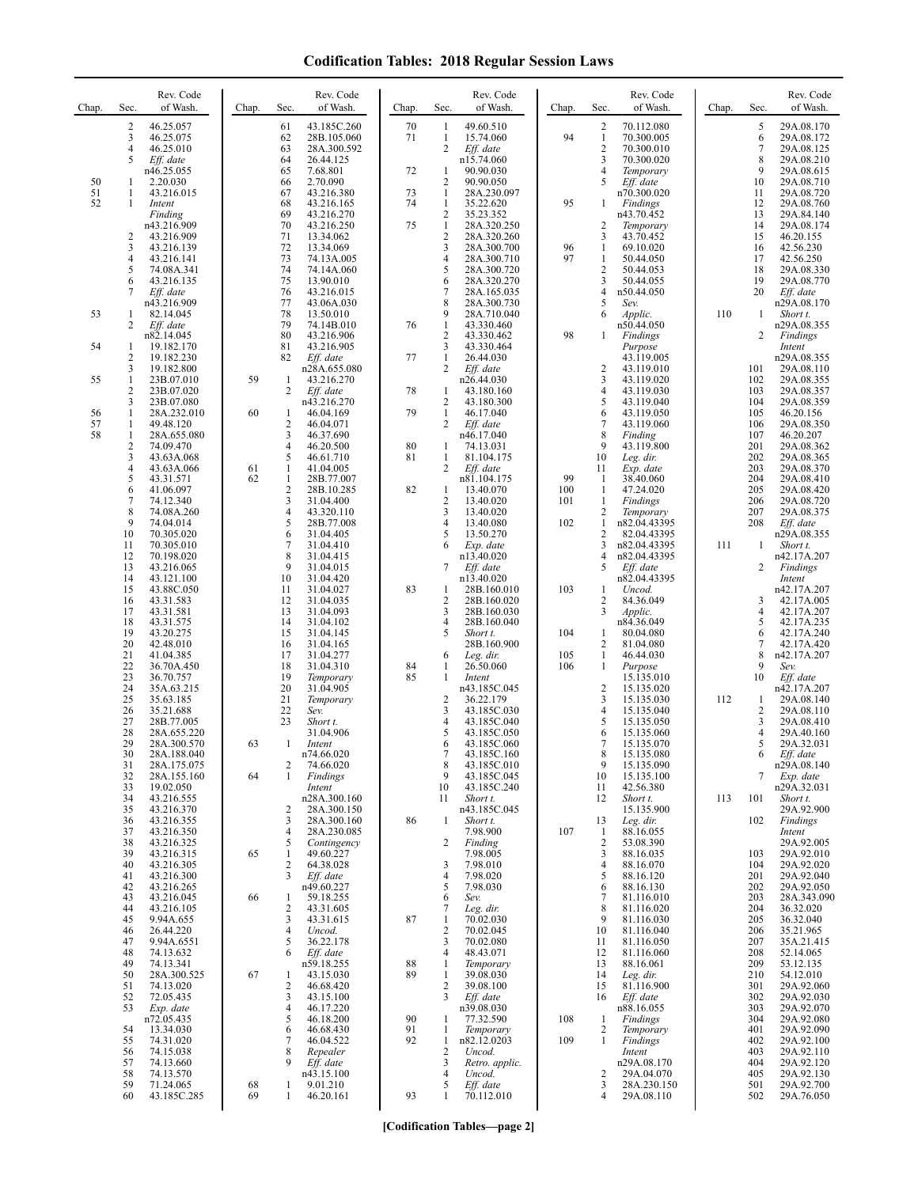| Chap.          | Sec.                          | Rev. Code<br>of Wash.                                              | Chap.    | Sec.                                        | Rev. Code<br>of Wash.                                             | Chap.          | Sec.                                                  | Rev. Code<br>of Wash.                                                | Chap.             | Sec.                                                        | Rev. Code<br>of Wash.                                             | Chap. | Sec.                            | Rev. Code<br>of Wash.                                              |
|----------------|-------------------------------|--------------------------------------------------------------------|----------|---------------------------------------------|-------------------------------------------------------------------|----------------|-------------------------------------------------------|----------------------------------------------------------------------|-------------------|-------------------------------------------------------------|-------------------------------------------------------------------|-------|---------------------------------|--------------------------------------------------------------------|
|                | 2<br>3<br>4<br>5              | 46.25.057<br>46.25.075<br>46.25.010<br>Eff. date                   |          | 61<br>62<br>63<br>64                        | 43.185C.260<br>28B.105.060<br>28A.300.592<br>26.44.125            | 70<br>71       | $\mathbf{1}$<br>1<br>2                                | 49.60.510<br>15.74.060<br>Eff. date<br>n15.74.060                    | 94                | $\overline{2}$<br>1<br>$\sqrt{2}$<br>3                      | 70.112.080<br>70.300.005<br>70.300.010<br>70.300.020              |       | 5<br>6<br>7<br>8                | 29A.08.170<br>29A.08.172<br>29A.08.125<br>29A.08.210               |
| 50<br>51<br>52 | 1<br>1<br>1                   | n46.25.055<br>2.20.030<br>43.216.015<br>Intent                     |          | 65<br>66<br>67<br>68                        | 7.68.801<br>2.70.090<br>43.216.380<br>43.216.165                  | 72<br>73<br>74 | 1<br>2<br>$\mathbf{1}$<br>$\mathbf{1}$                | 90.90.030<br>90.90.050<br>28A.230.097<br>35.22.620                   | 95                | $\overline{4}$<br>5<br>-1                                   | Temporary<br>Eff. date<br>n70.300.020<br>Findings                 |       | 9<br>10<br>11<br>12             | 29A.08.615<br>29A.08.710<br>29A.08.720<br>29A.08.760               |
|                | 2<br>3                        | Finding<br>n43.216.909<br>43.216.909<br>43.216.139                 |          | 69<br>70<br>71<br>72                        | 43.216.270<br>43.216.250<br>13.34.062<br>13.34.069                | 75             | $\overline{c}$<br>$\mathbf{1}$<br>$\overline{2}$<br>3 | 35.23.352<br>28A.320.250<br>28A.320.260<br>28A.300.700               | 96                | $\overline{2}$<br>3<br>1                                    | n43.70.452<br>Temporary<br>43.70.452<br>69.10.020                 |       | 13<br>14<br>15<br>16            | 29A.84.140<br>29A.08.174<br>46.20.155<br>42.56.230                 |
|                | 4<br>5<br>6<br>7              | 43.216.141<br>74.08A.341<br>43.216.135<br>Eff. date                |          | 73<br>74<br>75<br>76                        | 74.13A.005<br>74.14A.060<br>13.90.010<br>43.216.015               |                | 4<br>5<br>6<br>7                                      | 28A.300.710<br>28A.300.720<br>28A.320.270<br>28A.165.035             | 97                | $\mathbf{1}$<br>$\sqrt{2}$<br>3<br>$\overline{4}$           | 50.44.050<br>50.44.053<br>50.44.055<br>n50.44.050                 |       | 17<br>18<br>19<br>20            | 42.56.250<br>29A.08.330<br>29A.08.770<br>Eff. date                 |
| 53<br>54       | 1<br>2<br>1                   | n43.216.909<br>82.14.045<br>Eff. date<br>n82.14.045<br>19.182.170  |          | 77<br>78<br>79<br>80<br>81                  | 43.06A.030<br>13.50.010<br>74.14B.010<br>43.216.906<br>43.216.905 | 76             | 8<br>9<br>$\mathbf{1}$<br>$\overline{c}$<br>3         | 28A.300.730<br>28A.710.040<br>43.330.460<br>43.330.462<br>43.330.464 | 98                | 5<br>6<br>1                                                 | Sev.<br>Applic.<br>n50.44.050<br>Findings<br>Purpose              | 110   | 1<br>2                          | n29A.08.170<br>Short t.<br>n29A.08.355<br>Findings                 |
| 55             | 2<br>3<br>1<br>$\overline{2}$ | 19.182.230<br>19.182.800<br>23B.07.010<br>23B.07.020               | 59       | 82<br>1<br>2                                | Eff. date<br>n28A.655.080<br>43.216.270<br>Eff. date              | 77<br>78       | 1<br>2<br>$\mathbf{1}$                                | 26.44.030<br>Eff. date<br>n26.44.030<br>43.180.160                   |                   | $\overline{2}$<br>$\mathfrak{Z}$<br>$\overline{4}$          | 43.119.005<br>43.119.010<br>43.119.020<br>43.119.030              |       | 101<br>102<br>103               | Intent<br>n29A.08.355<br>29A.08.110<br>29A.08.355<br>29A.08.357    |
| 56<br>57<br>58 | 3<br>1<br>1<br>1              | 23B.07.080<br>28A.232.010<br>49.48.120<br>28A.655.080              | 60       | -1<br>$\overline{2}$<br>3                   | n43.216.270<br>46.04.169<br>46.04.071<br>46.37.690                | 79             | 2<br>$\mathbf{1}$<br>2                                | 43.180.300<br>46.17.040<br>Eff. date<br>n46.17.040                   |                   | 5<br>6<br>$\overline{7}$<br>8                               | 43.119.040<br>43.119.050<br>43.119.060<br>Finding                 |       | 104<br>105<br>106<br>107        | 29A.08.359<br>46.20.156<br>29A.08.350<br>46.20.207                 |
|                | 2<br>3<br>4<br>5              | 74.09.470<br>43.63A.068<br>43.63A.066<br>43.31.571                 | 61<br>62 | 4<br>5<br>$\mathbf{1}$<br>1                 | 46.20.500<br>46.61.710<br>41.04.005<br>28B.77.007                 | 80<br>81       | 1<br>$\mathbf{1}$<br>2                                | 74.13.031<br>81.104.175<br>Eff. date<br>n81.104.175                  | 99                | 9<br>10<br>11<br>-1                                         | 43.119.800<br>Leg. dir.<br>Exp. date<br>38.40.060                 |       | 201<br>202<br>203<br>204        | 29A.08.362<br>29A.08.365<br>29A.08.370<br>29A.08.410               |
|                | 6<br>7<br>8<br>9<br>10        | 41.06.097<br>74.12.340<br>74.08A.260<br>74.04.014<br>70.305.020    |          | $\sqrt{2}$<br>3<br>$\overline{4}$<br>5<br>6 | 28B.10.285<br>31.04.400<br>43.320.110<br>28B.77.008<br>31.04.405  | 82             | $\mathbf{1}$<br>2<br>3<br>4<br>5                      | 13.40.070<br>13.40.020<br>13.40.020<br>13.40.080<br>13.50.270        | 100<br>101<br>102 | -1<br>1<br>$\overline{c}$<br>$\mathbf{1}$<br>$\overline{2}$ | 47.24.020<br>Findings<br>Temporary<br>n82.04.43395<br>82.04.43395 |       | 205<br>206<br>207<br>208        | 29A.08.420<br>29A.08.720<br>29A.08.375<br>Eff. date<br>n29A.08.355 |
|                | 11<br>12<br>13<br>14          | 70.305.010<br>70.198.020<br>43.216.065<br>43.121.100               |          | 7<br>8<br>9<br>10                           | 31.04.410<br>31.04.415<br>31.04.015<br>31.04.420                  |                | 6<br>7                                                | Exp. date<br>n13.40.020<br>Eff. date<br>n13.40.020                   |                   | 3<br>4<br>5                                                 | n82.04.43395<br>n82.04.43395<br>Eff. date<br>n82.04.43395         | 111   | 1<br>2                          | Short t.<br>n42.17A.207<br>Findings<br>Intent                      |
|                | 15<br>16<br>17<br>18          | 43.88C.050<br>43.31.583<br>43.31.581<br>43.31.575                  |          | 11<br>12<br>13<br>14                        | 31.04.027<br>31.04.035<br>31.04.093<br>31.04.102                  | 83             | 1<br>2<br>3<br>4                                      | 28B.160.010<br>28B.160.020<br>28B.160.030<br>28B.160.040             | 103               | 1<br>$\overline{2}$<br>3                                    | Uncod.<br>84.36.049<br>Applic.<br>n84.36.049                      |       | 3<br>4<br>5                     | n42.17A.207<br>42.17A.005<br>42.17A.207<br>42.17A.235              |
|                | 19<br>20<br>21<br>22<br>23    | 43.20.275<br>42.48.010<br>41.04.385<br>36.70A.450<br>36.70.757     |          | 15<br>16<br>17<br>18<br>19                  | 31.04.145<br>31.04.165<br>31.04.277<br>31.04.310<br>Temporary     | 84<br>85       | 5<br>6<br>1<br>$\mathbf{1}$                           | Short t.<br>28B.160.900<br>Leg. dir.<br>26.50.060<br>Intent          | 104<br>105<br>106 | 1<br>$\overline{2}$<br>1<br>1                               | 80.04.080<br>81.04.080<br>46.44.030<br>Purpose<br>15.135.010      |       | 6<br>7<br>8<br>9<br>10          | 42.17A.240<br>42.17A.420<br>n42.17A.207<br>Sev.<br>Eff. date       |
|                | 24<br>25<br>26<br>27          | 35A.63.215<br>35.63.185<br>35.21.688<br>28B.77.005                 |          | 20<br>21<br>22<br>23                        | 31.04.905<br>Temporary<br>Sev.<br>Short t.                        |                | $\overline{c}$<br>3                                   | n43.185C.045<br>36.22.179<br>43.185C.030<br>43.185C.040              |                   | $\overline{c}$<br>3<br>$\overline{4}$<br>5                  | 15.135.020<br>15.135.030<br>15.135.040<br>15.135.050              | 112   | 1<br>2<br>3                     | n42.17A.207<br>29A.08.140<br>29A.08.110<br>29A.08.410              |
|                | 28<br>29<br>30<br>31          | 28A.655.220<br>28A.300.570<br>28A.188.040<br>28A.175.075           | 63       | 1<br>2                                      | 31.04.906<br>Intent<br>n74.66.020<br>74.66.020                    |                | 5<br>6<br>7<br>8                                      | 43.185C.050<br>43.185C.060<br>43.185C.160<br>43.185C.010             |                   | 6<br>$\overline{7}$<br>8<br>9                               | 15.135.060<br>15.135.070<br>15.135.080<br>15.135.090              |       | 4<br>5<br>6                     | 29A.40.160<br>29A.32.031<br>Eff. date<br>n29A.08.140               |
|                | 32<br>33<br>34<br>35<br>36    | 28A.155.160<br>19.02.050<br>43.216.555<br>43.216.370<br>43.216.355 | 64       | 1<br>2<br>3                                 | Findings<br>Intent<br>n28A.300.160<br>28A.300.150<br>28A.300.160  | 86             | 9<br>10<br>11<br>$\mathbf{1}$                         | 43.185C.045<br>43.185C.240<br>Short t.<br>n43.185C.045<br>Short t.   |                   | 10<br>11<br>12<br>13                                        | 15.135.100<br>42.56.380<br>Short t.<br>15.135.900<br>Leg. dir.    | 113   | 7<br>101<br>102                 | Exp. date<br>n29A.32.031<br>Short t.<br>29A.92.900<br>Findings     |
|                | 37<br>38<br>39<br>40          | 43.216.350<br>43.216.325<br>43.216.315<br>43.216.305               | 65       | $\overline{4}$<br>5<br>1<br>$\overline{2}$  | 28A.230.085<br>Contingency<br>49.60.227<br>64.38.028              |                | 2<br>3                                                | 7.98.900<br>Finding<br>7.98.005<br>7.98.010                          | 107               | -1<br>$\overline{2}$<br>3<br>$\overline{4}$                 | 88.16.055<br>53.08.390<br>88.16.035<br>88.16.070                  |       | 103<br>104                      | Intent<br>29A.92.005<br>29A.92.010<br>29A.92.020                   |
|                | 41<br>42<br>43<br>44          | 43.216.300<br>43.216.265<br>43.216.045<br>43.216.105               | 66       | 3<br>1<br>2                                 | Eff. date<br>n49.60.227<br>59.18.255<br>43.31.605                 |                | 4<br>5<br>6<br>7                                      | 7.98.020<br>7.98.030<br>Sev.<br>Leg. dir.                            |                   | 5<br>6<br>$\overline{7}$<br>8                               | 88.16.120<br>88.16.130<br>81.116.010<br>81.116.020                |       | 201<br>202<br>203<br>204        | 29A.92.040<br>29A.92.050<br>28A.343.090<br>36.32.020               |
|                | 45<br>46<br>47<br>48<br>49    | 9.94A.655<br>26.44.220<br>9.94A.6551<br>74.13.632<br>74.13.341     |          | 3<br>$\overline{4}$<br>5<br>6               | 43.31.615<br>Uncod.<br>36.22.178<br>Eff. date<br>n59.18.255       | 87<br>88       | 1<br>$\overline{2}$<br>3<br>4<br>1                    | 70.02.030<br>70.02.045<br>70.02.080<br>48.43.071<br>Temporary        |                   | 9<br>10<br>11<br>12<br>13                                   | 81.116.030<br>81.116.040<br>81.116.050<br>81.116.060<br>88.16.061 |       | 205<br>206<br>207<br>208<br>209 | 36.32.040<br>35.21.965<br>35A.21.415<br>52.14.065<br>53.12.135     |
|                | 50<br>51<br>52<br>53          | 28A.300.525<br>74.13.020<br>72.05.435<br>Exp. date                 | 67       | 1<br>$\overline{2}$<br>3<br>$\overline{4}$  | 43.15.030<br>46.68.420<br>43.15.100<br>46.17.220                  | 89             | $\mathbf{1}$<br>2<br>3                                | 39.08.030<br>39.08.100<br>Eff. date<br>n39.08.030                    |                   | 14<br>15<br>16                                              | Leg. dir.<br>81.116.900<br>Eff. date<br>n88.16.055                |       | 210<br>301<br>302<br>303        | 54.12.010<br>29A.92.060<br>29A.92.030<br>29A.92.070                |
|                | 54<br>55<br>56                | n72.05.435<br>13.34.030<br>74.31.020<br>74.15.038                  |          | 5<br>6<br>7<br>8                            | 46.18.200<br>46.68.430<br>46.04.522<br>Repealer                   | 90<br>91<br>92 | 1<br>$\mathbf{1}$<br>$\mathbf{1}$<br>2                | 77.32.590<br>Temporary<br>n82.12.0203<br>Uncod.                      | 108<br>109        | 1<br>2<br>1                                                 | Findings<br>Temporary<br>Findings<br>Intent                       |       | 304<br>401<br>402<br>403        | 29A.92.080<br>29A.92.090<br>29A.92.100<br>29A.92.110               |
|                | 57<br>58<br>59<br>60          | 74.13.660<br>74.13.570<br>71.24.065<br>43.185C.285                 | 68<br>69 | 9<br>1<br>1                                 | Eff. date<br>n43.15.100<br>9.01.210<br>46.20.161                  | 93             | 3<br>4<br>5<br>1                                      | Retro. applic.<br>Uncod.<br>Eff. date<br>70.112.010                  |                   | 2<br>3<br>$\overline{4}$                                    | n29A.08.170<br>29A.04.070<br>28A.230.150<br>29A.08.110            |       | 404<br>405<br>501<br>502        | 29A.92.120<br>29A.92.130<br>29A.92.700<br>29A.76.050               |

**[Codification Tables—page 2]**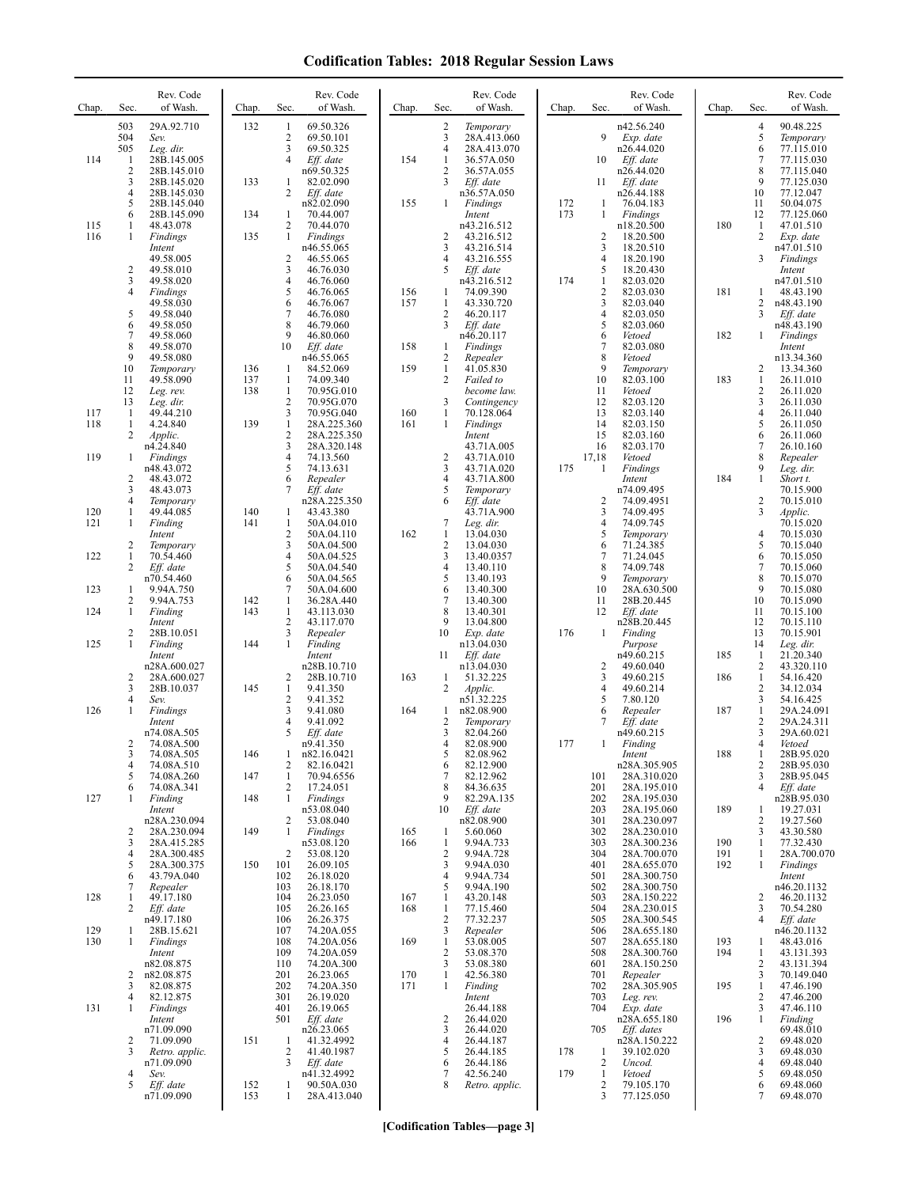| Chap. | Sec.                | Rev. Code<br>of Wash.        | Chap.      | Sec.                           | Rev. Code<br>of Wash.      | Chap. | Sec.                           | Rev. Code<br>of Wash.       | Chap. | Sec.                 | Rev. Code<br>of Wash.      | Chap.      | Sec.                | Rev. Code<br>of Wash.     |
|-------|---------------------|------------------------------|------------|--------------------------------|----------------------------|-------|--------------------------------|-----------------------------|-------|----------------------|----------------------------|------------|---------------------|---------------------------|
|       | 503<br>504          | 29A.92.710<br>Sev.           | 132        | 1<br>$\overline{c}$            | 69.50.326<br>69.50.101     |       | $\overline{\mathbf{c}}$<br>3   | Temporary<br>28A.413.060    |       | 9                    | n42.56.240<br>Exp. date    |            | 4<br>5              | 90.48.225<br>Temporary    |
|       | 505                 | Leg. dir.                    |            | 3                              | 69.50.325                  |       | $\overline{4}$                 | 28A.413.070                 |       |                      | n26.44.020                 |            | 6                   | 77.115.010                |
| 114   | 1<br>$\overline{c}$ | 28B.145.005<br>28B.145.010   |            | $\overline{4}$                 | Eff. date<br>n69.50.325    | 154   | $\mathbf{1}$<br>$\overline{2}$ | 36.57A.050<br>36.57A.055    |       | 10                   | Eff. date<br>n26.44.020    |            | 7<br>8              | 77.115.030<br>77.115.040  |
|       | 3                   | 28B.145.020                  | 133        | 1                              | 82.02.090                  |       | 3                              | Eff. date                   |       | 11                   | Eff. date                  |            | 9                   | 77.125.030                |
|       | 4<br>5              | 28B.145.030<br>28B.145.040   |            | 2                              | Eff. date<br>n82.02.090    | 155   | $\mathbf{1}$                   | n36.57A.050<br>Findings     | 172   | 1                    | n26.44.188<br>76.04.183    |            | 10<br>11            | 77.12.047<br>50.04.075    |
|       | 6                   | 28B.145.090                  | 134        | 1                              | 70.44.007                  |       |                                | Intent                      | 173   | 1                    | Findings                   |            | 12                  | 77.125.060                |
| 115   | 1                   | 48.43.078                    |            | 2<br>$\mathbf{1}$              | 70.44.070                  |       |                                | n43.216.512                 |       |                      | n18.20.500                 | 180        | 1<br>$\overline{2}$ | 47.01.510                 |
| 116   | 1                   | Findings<br>Intent           | 135        |                                | Findings<br>n46.55.065     |       | 2<br>3                         | 43.216.512<br>43.216.514    |       | $\overline{c}$<br>3  | 18.20.500<br>18.20.510     |            |                     | Exp. date<br>n47.01.510   |
|       | $\overline{c}$      | 49.58.005                    |            | $\overline{c}$<br>3            | 46.55.065<br>46.76.030     |       | 4<br>5                         | 43.216.555                  |       | $\overline{4}$<br>5  | 18.20.190                  |            | 3                   | Findings                  |
|       | 3                   | 49.58.010<br>49.58.020       |            | $\overline{4}$                 | 46.76.060                  |       |                                | Eff. date<br>n43.216.512    | 174   | 1                    | 18.20.430<br>82.03.020     |            |                     | Intent<br>n47.01.510      |
|       | 4                   | Findings                     |            | 5                              | 46.76.065                  | 156   | $\mathbf{1}$                   | 74.09.390                   |       | $\sqrt{2}$<br>3      | 82.03.030                  | 181        | 1                   | 48.43.190                 |
|       | 5                   | 49.58.030<br>49.58.040       |            | 6<br>7                         | 46.76.067<br>46.76.080     | 157   | $\mathbf{1}$<br>$\overline{2}$ | 43.330.720<br>46.20.117     |       | $\overline{4}$       | 82.03.040<br>82.03.050     |            | 2<br>3              | n48.43.190<br>Eff. date   |
|       | 6<br>$\overline{7}$ | 49.58.050                    |            | 8<br>9                         | 46.79.060                  |       | 3                              | Eff. date                   |       | 5<br>6               | 82.03.060                  |            |                     | n48.43.190                |
|       | 8                   | 49.58.060<br>49.58.070       |            | 10                             | 46.80.060<br>Eff. date     | 158   | 1                              | n46.20.117<br>Findings      |       | $\tau$               | Vetoed<br>82.03.080        | 182        | 1                   | Findings<br>Intent        |
|       | 9                   | 49.58.080                    |            |                                | n46.55.065                 |       | $\overline{c}$                 | Repealer                    |       | 8<br>9               | Vetoed                     |            |                     | n13.34.360                |
|       | 10<br>11            | Temporary<br>49.58.090       | 136<br>137 | -1<br>$\mathbf{1}$             | 84.52.069<br>74.09.340     | 159   | $\mathbf{1}$<br>2              | 41.05.830<br>Failed to      |       | 10                   | Temporary<br>82.03.100     | 183        | 2<br>$\mathbf{1}$   | 13.34.360<br>26.11.010    |
|       | 12                  | Leg. rev.                    | 138        | $\mathbf{1}$                   | 70.95G.010                 |       |                                | become law.                 |       | 11                   | Vetoed                     |            | 2                   | 26.11.020                 |
| 117   | 13<br>-1            | Leg. dir.<br>49.44.210       |            | $\overline{c}$<br>3            | 70.95G.070<br>70.95G.040   | 160   | 3<br>1                         | Contingency<br>70.128.064   |       | 12<br>13             | 82.03.120<br>82.03.140     |            | 3<br>4              | 26.11.030<br>26.11.040    |
| 118   | 1                   | 4.24.840                     | 139        | $\mathbf{1}$                   | 28A.225.360                | 161   | $\mathbf{1}$                   | Findings                    |       | 14                   | 82.03.150                  |            | 5                   | 26.11.050                 |
|       | 2                   | Applic.<br>n4.24.840         |            | $\overline{c}$<br>3            | 28A.225.350<br>28A.320.148 |       |                                | Intent<br>43.71A.005        |       | 15<br>16             | 82.03.160<br>82.03.170     |            | 6<br>7              | 26.11.060<br>26.10.160    |
| 119   | 1                   | Findings                     |            | $\overline{4}$                 | 74.13.560                  |       | $\overline{c}$                 | 43.71A.010                  |       | 17,18                | Vetoed                     |            | 8<br>9              | Repealer                  |
|       | $\overline{c}$      | n48.43.072<br>48.43.072      |            | 5<br>6                         | 74.13.631<br>Repealer      |       | 3<br>4                         | 43.71A.020<br>43.71A.800    | 175   | -1                   | Findings<br>Intent         | 184        | $\mathbf{1}$        | Leg. dir.<br>Short t.     |
|       | 3                   | 48.43.073                    |            | 7                              | Eff. date                  |       | 5                              | Temporary                   |       |                      | n74.09.495                 |            |                     | 70.15.900                 |
| 120   | 4<br>1              | Temporary<br>49.44.085       | 140        | 1                              | n28A.225.350<br>43.43.380  |       | 6                              | Eff. date<br>43.71A.900     |       | $\overline{2}$<br>3  | 74.09.4951<br>74.09.495    |            | 2<br>3              | 70.15.010<br>Applic.      |
| 121   | 1                   | Finding                      | 141        | 1                              | 50A.04.010                 |       | 7                              | Leg. dir.                   |       | $\overline{4}$       | 74.09.745                  |            |                     | 70.15.020                 |
|       | 2                   | Intent<br>Temporary          |            | $\mathfrak{2}$<br>3            | 50A.04.110<br>50A.04.500   | 162   | 1<br>$\overline{2}$            | 13.04.030<br>13.04.030      |       | 5<br>6               | Temporary<br>71.24.385     |            | 4<br>5              | 70.15.030<br>70.15.040    |
| 122   | 1                   | 70.54.460                    |            | $\overline{4}$                 | 50A.04.525                 |       | 3                              | 13.40.0357                  |       | $\sqrt{ }$           | 71.24.045                  |            | 6                   | 70.15.050                 |
|       | 2                   | Eff. date<br>n70.54.460      |            | 5<br>6                         | 50A.04.540<br>50A.04.565   |       | 4<br>5                         | 13.40.110<br>13.40.193      |       | 8<br>9               | 74.09.748<br>Temporary     |            | $\tau$<br>8         | 70.15.060<br>70.15.070    |
| 123   | 1                   | 9.94A.750                    |            | 7                              | 50A.04.600                 |       | 6<br>7                         | 13.40.300                   |       | 10                   | 28A.630.500                |            | 9                   | 70.15.080                 |
| 124   | 2<br>1              | 9.94A.753<br>Finding         | 142<br>143 | $\mathbf{1}$<br>$\mathbf{1}$   | 36.28A.440<br>43.113.030   |       | 8                              | 13.40.300<br>13.40.301      |       | 11<br>12             | 28B.20.445<br>Eff. date    |            | 10<br>11            | 70.15.090<br>70.15.100    |
|       | 2                   | Intent<br>28B.10.051         |            | 2<br>3                         | 43.117.070                 |       | 9<br>10                        | 13.04.800                   | 176   |                      | n28B.20.445                |            | 12<br>13            | 70.15.110                 |
| 125   | 1                   | Finding                      | 144        | 1                              | Repealer<br>Finding        |       |                                | Exp. date<br>n13.04.030     |       | 1                    | Finding<br>Purpose         |            | 14                  | 70.15.901<br>Leg. dir.    |
|       |                     | Intent                       |            |                                | Intent<br>n28B.10.710      |       | 11                             | Eff. date                   |       | $\overline{c}$       | n49.60.215                 | 185        | 1<br>2              | 21.20.340                 |
|       | $\overline{c}$      | n28A.600.027<br>28A.600.027  |            | 2                              | 28B.10.710                 | 163   | 1                              | n13.04.030<br>51.32.225     |       | 3                    | 49.60.040<br>49.60.215     | 186        | $\mathbf{1}$        | 43.320.110<br>54.16.420   |
|       | 3<br>4              | 28B.10.037<br>Sev.           | 145        | $\mathbf{1}$<br>$\overline{c}$ | 9.41.350<br>9.41.352       |       | 2                              | Applic.<br>n51.32.225       |       | $\overline{4}$<br>5  | 49.60.214<br>7.80.120      |            | $\overline{c}$<br>3 | 34.12.034<br>54.16.425    |
| 126   | 1                   | Findings                     |            | 3                              | 9.41.080                   | 164   | 1                              | n82.08.900                  |       | 6                    | Repealer                   | 187        | $\mathbf{1}$        | 29A.24.091                |
|       |                     | Intent<br>n74.08A.505        |            | 4<br>5                         | 9.41.092<br>Eff. date      |       | $\overline{2}$<br>3            | Temporary<br>82.04.260      |       | 7                    | Eff. date<br>n49.60.215    |            | 2<br>3              | 29A.24.311<br>29A.60.021  |
|       | 2                   | 74.08A.500                   |            |                                | n9.41.350                  |       | 4                              | 82.08.900                   | 177   | 1                    | Finding                    |            | 4                   | Vetoed                    |
|       | 3<br>4              | 74.08A.505<br>74.08A.510     | 146        | 2                              | n82.16.0421<br>82.16.0421  |       | ͻ<br>6                         | 82.08.962<br>82.12.900      |       |                      | Intent<br>n28A.305.905     | 188        | 1<br>2              | 28B.95.020<br>28B.95.030  |
|       | 5                   | 74.08A.260                   | 147        | 1                              | 70.94.6556                 |       | 7                              | 82.12.962                   |       | 101                  | 28A.310.020                |            | 3                   | 28B.95.045                |
| 127   | 6                   | 74.08A.341<br>Finding        | 148        | 2<br>1                         | 17.24.051<br>Findings      |       | 8<br>9                         | 84.36.635<br>82.29A.135     |       | 201<br>202           | 28A.195.010<br>28A.195.030 |            | 4                   | Eff. date<br>n28B.95.030  |
|       |                     | Intent                       |            |                                | n53.08.040                 |       | 10                             | Eff. date                   |       | 203                  | 28A.195.060                | 189        | 1                   | 19.27.031                 |
|       | 2                   | n28A.230.094<br>28A.230.094  | 149        | 2<br>$\mathbf{1}$              | 53.08.040<br>Findings      | 165   | 1                              | n82.08.900<br>5.60.060      |       | 301<br>302           | 28A.230.097<br>28A.230.010 |            | 2<br>3              | 19.27.560<br>43.30.580    |
|       | 3                   | 28A.415.285                  |            |                                | n53.08.120                 | 166   | 1                              | 9.94A.733                   |       | 303                  | 28A.300.236                | 190        | 1                   | 77.32.430                 |
|       | 4<br>5              | 28A.300.485<br>28A.300.375   | 150        | 2<br>101                       | 53.08.120<br>26.09.105     |       | $\overline{2}$<br>3            | 9.94A.728<br>9.94A.030      |       | 304<br>401           | 28A.700.070<br>28A.655.070 | 191<br>192 | 1<br>1              | 28A.700.070<br>Findings   |
|       | 6                   | 43.79A.040                   |            | 102                            | 26.18.020                  |       | 4                              | 9.94A.734                   |       | 501                  | 28A.300.750                |            |                     | Intent                    |
| 128   | 7<br>1              | Repealer<br>49.17.180        |            | 103<br>104                     | 26.18.170<br>26.23.050     | 167   | 5<br>$\mathbf{1}$              | 9.94A.190<br>43.20.148      |       | 502<br>503           | 28A.300.750<br>28A.150.222 |            | 2                   | n46.20.1132<br>46.20.1132 |
|       | 2                   | Eff. date                    |            | 105                            | 26.26.165                  | 168   | $\mathbf{1}$                   | 77.15.460                   |       | 504                  | 28A.230.015                |            | 3                   | 70.54.280                 |
| 129   | 1                   | n49.17.180<br>28B.15.621     |            | 106<br>107                     | 26.26.375<br>74.20A.055    |       | $\sqrt{2}$<br>3                | 77.32.237<br>Repealer       |       | 505<br>506           | 28A.300.545<br>28A.655.180 |            | 4                   | Eff. date<br>n46.20.1132  |
| 130   | -1                  | Findings                     |            | 108                            | 74.20A.056                 | 169   | 1                              | 53.08.005                   |       | 507                  | 28A.655.180                | 193        | 1                   | 48.43.016                 |
|       |                     | Intent<br>n82.08.875         |            | 109<br>110                     | 74.20A.059<br>74.20A.300   |       | $\overline{2}$<br>3            | 53.08.370<br>53.08.380      |       | 508<br>601           | 28A.300.760<br>28A.150.250 | 194        | 1<br>2              | 43.131.393<br>43.131.394  |
|       | 2                   | n82.08.875                   |            | 201                            | 26.23.065                  | 170   | 1                              | 42.56.380                   |       | 701                  | Repealer                   |            | 3                   | 70.149.040                |
|       | 3<br>4              | 82.08.875<br>82.12.875       |            | 202<br>301                     | 74.20A.350<br>26.19.020    | 171   | 1                              | Finding<br>Intent           |       | 702<br>703           | 28A.305.905<br>Leg. rev.   | 195        | 1<br>2              | 47.46.190<br>47.46.200    |
| 131   | 1                   | Findings                     |            | 401                            | 26.19.065                  |       |                                | 26.44.188                   |       | 704                  | Exp. date                  |            | 3                   | 47.46.110                 |
|       |                     | Intent<br>n71.09.090         |            | 501                            | Eff. date<br>n26.23.065    |       | 2<br>3                         | 26.44.020<br>26.44.020      |       | 705                  | n28A.655.180<br>Eff. dates | 196        | $\mathbf{1}$        | Finding<br>69.48.010      |
|       | $\overline{c}$      | 71.09.090                    | 151        | -1                             | 41.32.4992                 |       | 4                              | 26.44.187                   |       |                      | n28A.150.222               |            | 2                   | 69.48.020                 |
|       | 3                   | Retro. applic.<br>n71.09.090 |            | 2<br>3                         | 41.40.1987<br>Eff. date    |       | 5<br>6                         | 26.44.185<br>26.44.186      | 178   | -1<br>$\overline{2}$ | 39.102.020<br>Uncod.       |            | 3<br>4              | 69.48.030<br>69.48.040    |
|       | 4<br>5              | Sev.<br>Eff. date            | 152        | 1                              | n41.32.4992<br>90.50A.030  |       | 7<br>8                         | 42.56.240<br>Retro. applic. | 179   | 1<br>$\overline{2}$  | Vetoed<br>79.105.170       |            | 5<br>6              | 69.48.050<br>69.48.060    |
|       |                     | n71.09.090                   | 153        | 1                              | 28A.413.040                |       |                                |                             |       | 3                    | 77.125.050                 |            | 7                   | 69.48.070                 |
|       |                     |                              |            |                                |                            |       |                                |                             |       |                      |                            |            |                     |                           |

**[Codification Tables—page 3]**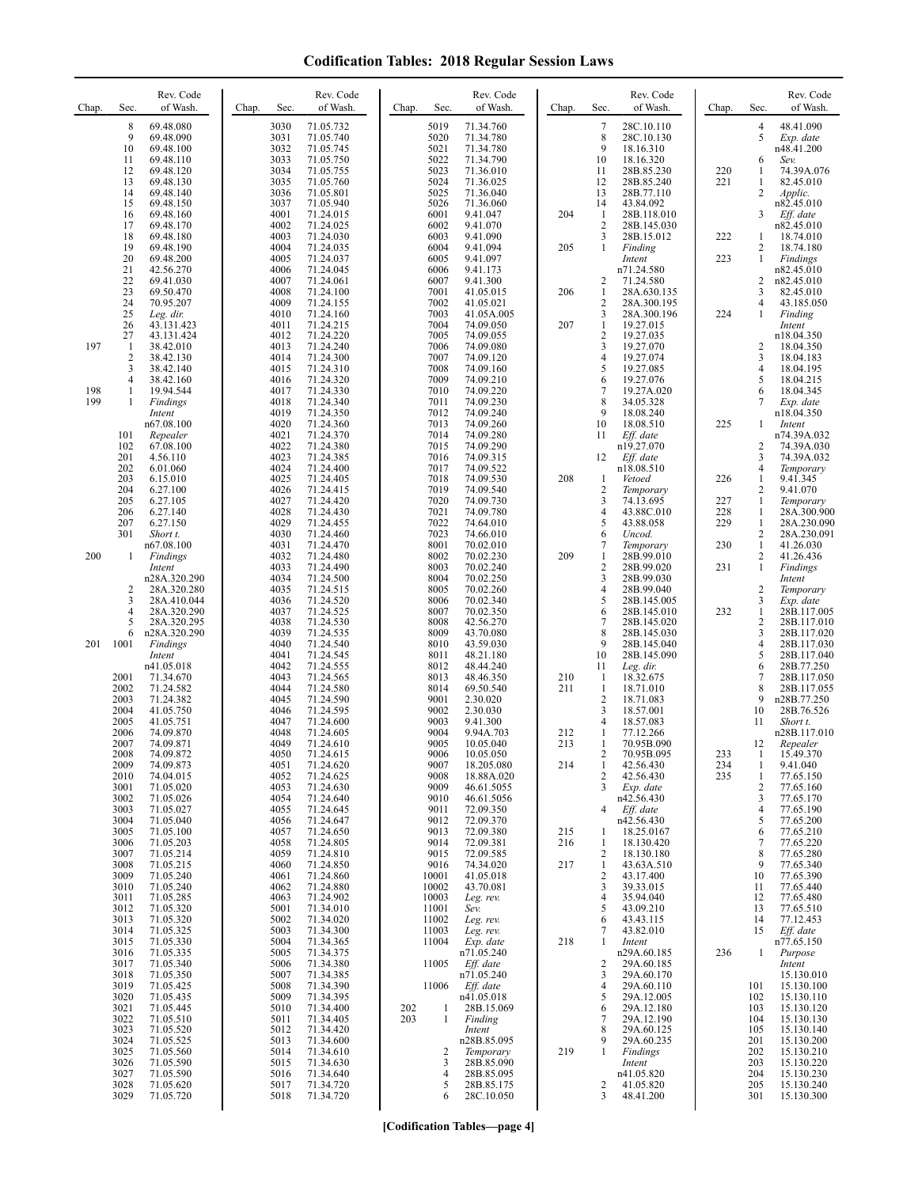| Chap.      | Sec.                 | Rev. Code<br>of Wash.      | Chap. | Sec.         | Rev. Code<br>of Wash.  | Chap. | Sec.           | Rev. Code<br>of Wash.    | Chap.      | Sec.                         | Rev. Code<br>of Wash.      | Chap.      | Sec.                           | Rev. Code<br>of Wash.        |
|------------|----------------------|----------------------------|-------|--------------|------------------------|-------|----------------|--------------------------|------------|------------------------------|----------------------------|------------|--------------------------------|------------------------------|
|            | 8<br>9               | 69.48.080<br>69.48.090     |       | 3030<br>3031 | 71.05.732<br>71.05.740 |       | 5019<br>5020   | 71.34.760<br>71.34.780   |            | 7<br>8                       | 28C.10.110<br>28C.10.130   |            | 4<br>5                         | 48.41.090<br>Exp. date       |
|            | 10<br>11             | 69.48.100<br>69.48.110     |       | 3032<br>3033 | 71.05.745<br>71.05.750 |       | 5021<br>5022   | 71.34.780<br>71.34.790   |            | 9<br>10                      | 18.16.310<br>18.16.320     |            | 6                              | n48.41.200<br>Sev.           |
|            | 12<br>13             | 69.48.120                  |       | 3034<br>3035 | 71.05.755<br>71.05.760 |       | 5023<br>5024   | 71.36.010<br>71.36.025   |            | 11<br>12                     | 28B.85.230                 | 220<br>221 | 1                              | 74.39A.076<br>82.45.010      |
|            | 14                   | 69.48.130<br>69.48.140     |       | 3036         | 71.05.801              |       | 5025           | 71.36.040                |            | 13                           | 28B.85.240<br>28B.77.110   |            | 1<br>2                         | Applic.                      |
|            | 15<br>16             | 69.48.150<br>69.48.160     |       | 3037<br>4001 | 71.05.940<br>71.24.015 |       | 5026<br>6001   | 71.36.060<br>9.41.047    | 204        | 14<br>$\mathbf{1}$           | 43.84.092<br>28B.118.010   |            | 3                              | n82.45.010<br>Eff. date      |
|            | 17<br>18             | 69.48.170<br>69.48.180     |       | 4002<br>4003 | 71.24.025<br>71.24.030 |       | 6002<br>6003   | 9.41.070<br>9.41.090     |            | $\overline{2}$<br>3          | 28B.145.030<br>28B.15.012  | 222        | 1                              | n82.45.010<br>18.74.010      |
|            | 19<br>20             | 69.48.190<br>69.48.200     |       | 4004<br>4005 | 71.24.035<br>71.24.037 |       | 6004<br>6005   | 9.41.094<br>9.41.097     | 205        | 1                            | Finding<br>Intent          | 223        | 2<br>$\mathbf{1}$              | 18.74.180<br><b>Findings</b> |
|            | 21<br>22             | 42.56.270<br>69.41.030     |       | 4006<br>4007 | 71.24.045<br>71.24.061 |       | 6006<br>6007   | 9.41.173<br>9.41.300     |            | 2                            | n71.24.580<br>71.24.580    |            | 2                              | n82.45.010<br>n82.45.010     |
|            | 23                   | 69.50.470                  |       | 4008         | 71.24.100              |       | 7001           | 41.05.015                | 206        | $\mathbf{1}$                 | 28A.630.135                |            | 3                              | 82.45.010                    |
|            | 24<br>25             | 70.95.207<br>Leg. dir.     |       | 4009<br>4010 | 71.24.155<br>71.24.160 |       | 7002<br>7003   | 41.05.021<br>41.05A.005  |            | 2<br>3                       | 28A.300.195<br>28A.300.196 | 224        | 4<br>$\mathbf{1}$              | 43.185.050<br>Finding        |
|            | 26<br>27             | 43.131.423<br>43.131.424   |       | 4011<br>4012 | 71.24.215<br>71.24.220 |       | 7004<br>7005   | 74.09.050<br>74.09.055   | 207        | 1<br>$\overline{c}$          | 19.27.015<br>19.27.035     |            |                                | Intent<br>n18.04.350         |
| 197        | -1<br>$\overline{c}$ | 38.42.010<br>38.42.130     |       | 4013<br>4014 | 71.24.240<br>71.24.300 |       | 7006<br>7007   | 74.09.080<br>74.09.120   |            | 3<br>4                       | 19.27.070<br>19.27.074     |            | 2<br>3                         | 18.04.350<br>18.04.183       |
|            | 3<br>4               | 38.42.140<br>38.42.160     |       | 4015<br>4016 | 71.24.310<br>71.24.320 |       | 7008<br>7009   | 74.09.160<br>74.09.210   |            | 5<br>6                       | 19.27.085<br>19.27.076     |            | 4<br>5                         | 18.04.195<br>18.04.215       |
| 198<br>199 | 1                    | 19.94.544<br>Findings      |       | 4017<br>4018 | 71.24.330<br>71.24.340 |       | 7010<br>7011   | 74.09.220<br>74.09.230   |            | $\overline{7}$<br>8          | 19.27A.020<br>34.05.328    |            | 6<br>7                         | 18.04.345<br>Exp. date       |
|            |                      | Intent                     |       | 4019         | 71.24.350              |       | 7012           | 74.09.240                |            | 9                            | 18.08.240                  |            |                                | n18.04.350                   |
|            | 101                  | n67.08.100<br>Repealer     |       | 4020<br>4021 | 71.24.360<br>71.24.370 |       | 7013<br>7014   | 74.09.260<br>74.09.280   |            | 10<br>11                     | 18.08.510<br>Eff. date     | 225        | $\mathbf{1}$                   | Intent<br>n74.39A.032        |
|            | 102<br>201           | 67.08.100<br>4.56.110      |       | 4022<br>4023 | 71.24.380<br>71.24.385 |       | 7015<br>7016   | 74.09.290<br>74.09.315   |            | 12                           | n19.27.070<br>Eff. date    |            | 2<br>3                         | 74.39A.030<br>74.39A.032     |
|            | 202<br>203           | 6.01.060<br>6.15.010       |       | 4024<br>4025 | 71.24.400<br>71.24.405 |       | 7017<br>7018   | 74.09.522<br>74.09.530   | 208        | 1                            | n18.08.510<br>Vetoed       | 226        | 4<br>1                         | Temporary<br>9.41.345        |
|            | 204<br>205           | 6.27.100<br>6.27.105       |       | 4026<br>4027 | 71.24.415<br>71.24.420 |       | 7019<br>7020   | 74.09.540<br>74.09.730   |            | $\overline{c}$<br>3          | Temporary<br>74.13.695     | 227        | 2<br>$\mathbf{1}$              | 9.41.070<br>Temporary        |
|            | 206<br>207           | 6.27.140<br>6.27.150       |       | 4028<br>4029 | 71.24.430<br>71.24.455 |       | 7021<br>7022   | 74.09.780<br>74.64.010   |            | $\overline{4}$<br>5          | 43.88C.010<br>43.88.058    | 228<br>229 | 1<br>1                         | 28A.300.900<br>28A.230.090   |
|            | 301                  | Short t.<br>n67.08.100     |       | 4030<br>4031 | 71.24.460<br>71.24.470 |       | 7023<br>8001   | 74.66.010<br>70.02.010   |            | 6<br>7                       | Uncod.                     | 230        | $\mathbf{2}$<br>$\mathbf{1}$   | 28A.230.091<br>41.26.030     |
| 200        | 1                    | <b>Findings</b>            |       | 4032         | 71.24.480              |       | 8002           | 70.02.230                | 209        | 1                            | Temporary<br>28B.99.010    |            | $\mathbf{2}$                   | 41.26.436                    |
|            |                      | Intent<br>n28A.320.290     |       | 4033<br>4034 | 71.24.490<br>71.24.500 |       | 8003<br>8004   | 70.02.240<br>70.02.250   |            | $\overline{2}$<br>3          | 28B.99.020<br>28B.99.030   | 231        | $\mathbf{1}$                   | Findings<br>Intent           |
|            | 2<br>3               | 28A.320.280<br>28A.410.044 |       | 4035<br>4036 | 71.24.515<br>71.24.520 |       | 8005<br>8006   | 70.02.260<br>70.02.340   |            | $\overline{4}$<br>5          | 28B.99.040<br>28B.145.005  |            | 2<br>3                         | Temporary<br>Exp. date       |
|            | 4<br>5               | 28A.320.290<br>28A.320.295 |       | 4037<br>4038 | 71.24.525<br>71.24.530 |       | 8007<br>8008   | 70.02.350<br>42.56.270   |            | 6<br>7                       | 28B.145.010<br>28B.145.020 | 232        | $\mathbf{1}$<br>$\overline{c}$ | 28B.117.005<br>28B.117.010   |
| 201        | 6<br>1001            | n28A.320.290<br>Findings   |       | 4039<br>4040 | 71.24.535<br>71.24.540 |       | 8009<br>8010   | 43.70.080<br>43.59.030   |            | 8<br>9                       | 28B.145.030<br>28B.145.040 |            | 3<br>4                         | 28B.117.020<br>28B.117.030   |
|            |                      | Intent<br>n41.05.018       |       | 4041<br>4042 | 71.24.545<br>71.24.555 |       | 8011<br>8012   | 48.21.180<br>48.44.240   |            | 10<br>11                     | 28B.145.090<br>Leg. dir.   |            | 5<br>6                         | 28B.117.040<br>28B.77.250    |
|            | 2001<br>2002         | 71.34.670<br>71.24.582     |       | 4043<br>4044 | 71.24.565<br>71.24.580 |       | 8013<br>8014   | 48.46.350<br>69.50.540   | 210<br>211 | $\mathbf{1}$<br>$\mathbf{1}$ | 18.32.675<br>18.71.010     |            | 7<br>8                         | 28B.117.050<br>28B.117.055   |
|            | 2003                 | 71.24.382                  |       | 4045         | 71.24.590              |       | 9001           | 2.30.020                 |            | $\overline{2}$               | 18.71.083                  |            | 9                              | n28B.77.250                  |
|            | 2004<br>2005         | 41.05.750<br>41.05.751     |       | 4046<br>4047 | 71.24.595<br>71.24.600 |       | 9002<br>9003   | 2.30.030<br>9.41.300     |            | 3<br>$\overline{4}$          | 18.57.001<br>18.57.083     |            | 10<br>11                       | 28B.76.526<br>Short t.       |
|            | 2006<br>2007         | 74.09.870<br>74.09.871     |       | 4048<br>4049 | 71.24.605<br>71.24.610 |       | 9004<br>9005   | 9.94A.703<br>10.05.040   | 212<br>213 | $\mathbf{1}$<br>1            | 77.12.266<br>70.95B.090    |            | 12                             | n28B.117.010<br>Repealer     |
|            | 2008<br>2009         | 74.09.872<br>74.09.873     |       | 4050<br>4051 | 71.24.615<br>71.24.620 |       | 9006<br>9007   | 10.05.050<br>18.205.080  | 214        | 2<br>1                       | 70.95B.095<br>42.56.430    | 233<br>234 | $\perp$<br>1                   | 15.49.370<br>9.41.040        |
|            | 2010<br>3001         | 74.04.015<br>71.05.020     |       | 4052<br>4053 | 71.24.625<br>71.24.630 |       | 9008<br>9009   | 18.88A.020<br>46.61.5055 |            | 2<br>3                       | 42.56.430<br>Exp. date     | 235        | 1<br>2                         | 77.65.150<br>77.65.160       |
|            | 3002<br>3003         | 71.05.026<br>71.05.027     |       | 4054<br>4055 | 71.24.640<br>71.24.645 |       | 9010<br>9011   | 46.61.5056<br>72.09.350  |            | 4                            | n42.56.430<br>$Eff.$ date  |            | 3<br>4                         | 77.65.170<br>77.65.190       |
|            | 3004<br>3005         | 71.05.040<br>71.05.100     |       | 4056<br>4057 | 71.24.647<br>71.24.650 |       | 9012<br>9013   | 72.09.370<br>72.09.380   | 215        | 1                            | n42.56.430<br>18.25.0167   |            | 5<br>6                         | 77.65.200                    |
|            | 3006                 | 71.05.203                  |       | 4058         | 71.24.805              |       | 9014           | 72.09.381                | 216        | 1                            | 18.130.420                 |            | 7                              | 77.65.210<br>77.65.220       |
|            | 3007<br>3008         | 71.05.214<br>71.05.215     |       | 4059<br>4060 | 71.24.810<br>71.24.850 |       | 9015<br>9016   | 72.09.585<br>74.34.020   | 217        | $\overline{2}$<br>1          | 18.130.180<br>43.63A.510   |            | 8<br>9                         | 77.65.280<br>77.65.340       |
|            | 3009<br>3010         | 71.05.240<br>71.05.240     |       | 4061<br>4062 | 71.24.860<br>71.24.880 |       | 10001<br>10002 | 41.05.018<br>43.70.081   |            | $\overline{2}$<br>3          | 43.17.400<br>39.33.015     |            | 10<br>11                       | 77.65.390<br>77.65.440       |
|            | 3011<br>3012         | 71.05.285<br>71.05.320     |       | 4063<br>5001 | 71.24.902<br>71.34.010 |       | 10003<br>11001 | Leg. rev.<br>Sev.        |            | 4<br>5                       | 35.94.040<br>43.09.210     |            | 12<br>13                       | 77.65.480<br>77.65.510       |
|            | 3013<br>3014         | 71.05.320<br>71.05.325     |       | 5002<br>5003 | 71.34.020<br>71.34.300 |       | 11002<br>11003 | Leg. rev.<br>Leg. rev.   |            | 6<br>7                       | 43.43.115<br>43.82.010     |            | 14<br>15                       | 77.12.453<br>Eff. date       |
|            | 3015<br>3016         | 71.05.330<br>71.05.335     |       | 5004<br>5005 | 71.34.365<br>71.34.375 |       | 11004          | Exp. date<br>n71.05.240  | 218        | $\mathbf{1}$                 | Intent<br>n29A.60.185      | 236        | 1                              | n77.65.150<br>Purpose        |
|            | 3017                 | 71.05.340                  |       | 5006         | 71.34.380              |       | 11005          | Eff. date                |            | 2                            | 29A.60.185                 |            |                                | Intent                       |
|            | 3018<br>3019         | 71.05.350<br>71.05.425     |       | 5007<br>5008 | 71.34.385<br>71.34.390 |       | 11006          | n71.05.240<br>Eff. date  |            | 3<br>4                       | 29A.60.170<br>29A.60.110   |            | 101                            | 15.130.010<br>15.130.100     |
|            | 3020<br>3021         | 71.05.435<br>71.05.445     |       | 5009<br>5010 | 71.34.395<br>71.34.400 | 202   | 1              | n41.05.018<br>28B.15.069 |            | 5<br>6                       | 29A.12.005<br>29A.12.180   |            | 102<br>103                     | 15.130.110<br>15.130.120     |
|            | 3022<br>3023         | 71.05.510<br>71.05.520     |       | 5011<br>5012 | 71.34.405<br>71.34.420 | 203   | $\mathbf{1}$   | Finding<br>Intent        |            | 7<br>8                       | 29A.12.190<br>29A.60.125   |            | 104<br>105                     | 15.130.130<br>15.130.140     |
|            | 3024<br>3025         | 71.05.525<br>71.05.560     |       | 5013<br>5014 | 71.34.600<br>71.34.610 |       | 2              | n28B.85.095<br>Temporary | 219        | 9<br>1                       | 29A.60.235<br>Findings     |            | 201<br>202                     | 15.130.200<br>15.130.210     |
|            | 3026<br>3027         | 71.05.590<br>71.05.590     |       | 5015<br>5016 | 71.34.630<br>71.34.640 |       | 3<br>4         | 28B.85.090<br>28B.85.095 |            |                              | Intent<br>n41.05.820       |            | 203<br>204                     | 15.130.220<br>15.130.230     |
|            | 3028<br>3029         | 71.05.620<br>71.05.720     |       | 5017<br>5018 | 71.34.720<br>71.34.720 |       | 5<br>6         | 28B.85.175<br>28C.10.050 |            | 2<br>3                       | 41.05.820<br>48.41.200     |            | 205<br>301                     | 15.130.240<br>15.130.300     |
|            |                      |                            |       |              |                        |       |                |                          |            |                              |                            |            |                                |                              |

**[Codification Tables—page 4]**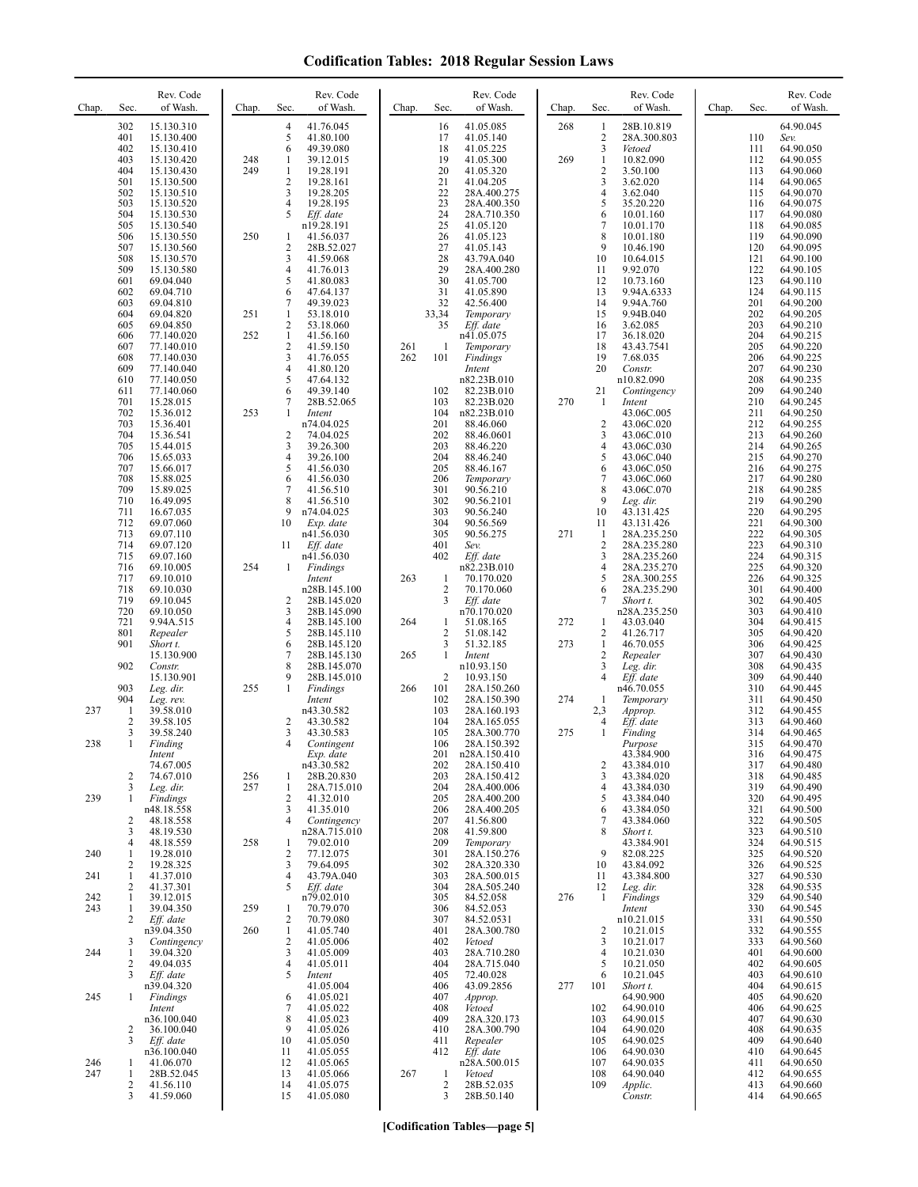| Chap.      | Sec.                | Rev. Code<br>of Wash.     | Chap. | Sec.                | Rev. Code<br>of Wash.      | Chap. | Sec.                | Rev. Code<br>of Wash.       | Chap. | Sec.                             | Rev. Code<br>of Wash.      | Chap. | Sec.       | Rev. Code<br>of Wash.  |
|------------|---------------------|---------------------------|-------|---------------------|----------------------------|-------|---------------------|-----------------------------|-------|----------------------------------|----------------------------|-------|------------|------------------------|
|            | 302                 | 15.130.310                |       | 4                   | 41.76.045                  |       | 16                  | 41.05.085                   | 268   | 1                                | 28B.10.819                 |       |            | 64.90.045              |
|            | 401<br>402          | 15.130.400<br>15.130.410  |       | 5<br>6              | 41.80.100<br>49.39.080     |       | 17<br>18            | 41.05.140<br>41.05.225      |       | $\overline{2}$<br>$\mathfrak{Z}$ | 28A.300.803<br>Vetoed      |       | 110<br>111 | Sev.<br>64.90.050      |
|            | 403                 | 15.130.420                | 248   | 1                   | 39.12.015                  |       | 19                  | 41.05.300                   | 269   | 1                                | 10.82.090                  |       | 112        | 64.90.055              |
|            | 404                 | 15.130.430                | 249   | 1                   | 19.28.191                  |       | 20                  | 41.05.320                   |       | $\sqrt{2}$<br>3                  | 3.50.100                   |       | 113        | 64.90.060              |
|            | 501<br>502          | 15.130.500<br>15.130.510  |       | 2<br>3              | 19.28.161<br>19.28.205     |       | 21<br>22            | 41.04.205<br>28A.400.275    |       | $\overline{4}$                   | 3.62.020<br>3.62.040       |       | 114<br>115 | 64.90.065<br>64.90.070 |
|            | 503                 | 15.130.520                |       | 4                   | 19.28.195                  |       | 23                  | 28A.400.350                 |       | 5                                | 35.20.220                  |       | 116        | 64.90.075              |
|            | 504<br>505          | 15.130.530<br>15.130.540  |       | 5                   | Eff. date<br>n19.28.191    |       | 24<br>25            | 28A.710.350<br>41.05.120    |       | 6<br>7                           | 10.01.160<br>10.01.170     |       | 117<br>118 | 64.90.080<br>64.90.085 |
|            | 506                 | 15.130.550                | 250   | 1                   | 41.56.037                  |       | 26                  | 41.05.123                   |       | 8                                | 10.01.180                  |       | 119        | 64.90.090              |
|            | 507                 | 15.130.560                |       | 2                   | 28B.52.027                 |       | 27                  | 41.05.143                   |       | 9                                | 10.46.190                  |       | 120        | 64.90.095              |
|            | 508<br>509          | 15.130.570<br>15.130.580  |       | 3<br>4              | 41.59.068<br>41.76.013     |       | 28<br>29            | 43.79A.040<br>28A.400.280   |       | 10<br>11                         | 10.64.015<br>9.92.070      |       | 121<br>122 | 64.90.100<br>64.90.105 |
|            | 601                 | 69.04.040                 |       | 5                   | 41.80.083                  |       | 30                  | 41.05.700                   |       | 12                               | 10.73.160                  |       | 123        | 64.90.110              |
|            | 602<br>603          | 69.04.710<br>69.04.810    |       | 6<br>7              | 47.64.137<br>49.39.023     |       | 31<br>32            | 41.05.890<br>42.56.400      |       | 13<br>14                         | 9.94A.6333<br>9.94A.760    |       | 124<br>201 | 64.90.115<br>64.90.200 |
|            | 604                 | 69.04.820                 | 251   | $\mathbf{1}$        | 53.18.010                  |       | 33,34               | Temporary                   |       | 15                               | 9.94B.040                  |       | 202        | 64.90.205              |
|            | 605<br>606          | 69.04.850<br>77.140.020   | 252   | 2<br>1              | 53.18.060<br>41.56.160     |       | 35                  | Eff. date<br>n41.05.075     |       | 16<br>17                         | 3.62.085<br>36.18.020      |       | 203<br>204 | 64.90.210<br>64.90.215 |
|            | 607                 | 77.140.010                |       | 2                   | 41.59.150                  | 261   | $\mathbf{1}$        | Temporary                   |       | 18                               | 43.43.7541                 |       | 205        | 64.90.220              |
|            | 608                 | 77.140.030                |       | 3                   | 41.76.055                  | 262   | 101                 | Findings                    |       | 19                               | 7.68.035                   |       | 206        | 64.90.225              |
|            | 609<br>610          | 77.140.040<br>77.140.050  |       | $\overline{4}$<br>5 | 41.80.120<br>47.64.132     |       |                     | Intent<br>n82.23B.010       |       | 20                               | Constr.<br>n10.82.090      |       | 207<br>208 | 64.90.230<br>64.90.235 |
|            | 611                 | 77.140.060                |       | 6                   | 49.39.140                  |       | 102                 | 82.23B.010                  |       | 21                               | Contingency                |       | 209        | 64.90.240              |
|            | 701<br>702          | 15.28.015<br>15.36.012    | 253   | 7<br>1              | 28B.52.065<br>Intent       |       | 103<br>104          | 82.23B.020<br>n82.23B.010   | 270   | 1                                | Intent<br>43.06C.005       |       | 210<br>211 | 64.90.245<br>64.90.250 |
|            | 703                 | 15.36.401                 |       |                     | n74.04.025                 |       | 201                 | 88.46.060                   |       | $\overline{c}$                   | 43.06C.020                 |       | 212        | 64.90.255              |
|            | 704<br>705          | 15.36.541<br>15.44.015    |       | 2<br>3              | 74.04.025<br>39.26.300     |       | 202<br>203          | 88.46.0601<br>88.46.220     |       | 3<br>$\overline{4}$              | 43.06C.010<br>43.06C.030   |       | 213<br>214 | 64.90.260<br>64.90.265 |
|            | 706                 | 15.65.033                 |       | 4                   | 39.26.100                  |       | 204                 | 88.46.240                   |       | 5                                | 43.06C.040                 |       | 215        | 64.90.270              |
|            | 707<br>708          | 15.66.017<br>15.88.025    |       | 5<br>6              | 41.56.030<br>41.56.030     |       | 205<br>206          | 88.46.167                   |       | 6<br>7                           | 43.06C.050<br>43.06C.060   |       | 216<br>217 | 64.90.275              |
|            | 709                 | 15.89.025                 |       | 7                   | 41.56.510                  |       | 301                 | Temporary<br>90.56.210      |       | 8                                | 43.06C.070                 |       | 218        | 64.90.280<br>64.90.285 |
|            | 710                 | 16.49.095                 |       | 8                   | 41.56.510                  |       | 302                 | 90.56.2101                  |       | 9                                | Leg. dir.                  |       | 219        | 64.90.290              |
|            | 711<br>712          | 16.67.035<br>69.07.060    |       | 9<br>10             | n74.04.025<br>Exp. date    |       | 303<br>304          | 90.56.240<br>90.56.569      |       | 10<br>11                         | 43.131.425<br>43.131.426   |       | 220<br>221 | 64.90.295<br>64.90.300 |
|            | 713                 | 69.07.110                 |       |                     | n41.56.030                 |       | 305                 | 90.56.275                   | 271   | 1                                | 28A.235.250                |       | 222        | 64.90.305              |
|            | 714<br>715          | 69.07.120<br>69.07.160    |       | 11                  | Eff. date<br>n41.56.030    |       | 401<br>402          | Sev.<br>Eff. date           |       | $\overline{c}$<br>3              | 28A.235.280<br>28A.235.260 |       | 223<br>224 | 64.90.310<br>64.90.315 |
|            | 716                 | 69.10.005                 | 254   | 1                   | Findings                   |       |                     | n82.23B.010                 |       | $\overline{4}$                   | 28A.235.270                |       | 225        | 64.90.320              |
|            | 717<br>718          | 69.10.010<br>69.10.030    |       |                     | Intent<br>n28B.145.100     | 263   | 1<br>2              | 70.170.020<br>70.170.060    |       | 5<br>6                           | 28A.300.255<br>28A.235.290 |       | 226<br>301 | 64.90.325<br>64.90.400 |
|            | 719                 | 69.10.045                 |       | 2                   | 28B.145.020                |       | 3                   | Eff. date                   |       | 7                                | Short t.                   |       | 302        | 64.90.405              |
|            | 720                 | 69.10.050                 |       | 3                   | 28B.145.090                |       |                     | n70.170.020                 |       |                                  | n28A.235.250               |       | 303        | 64.90.410              |
|            | 721<br>801          | 9.94A.515<br>Repealer     |       | 4<br>5              | 28B.145.100<br>28B.145.110 | 264   | 1<br>$\overline{c}$ | 51.08.165<br>51.08.142      | 272   | -1<br>2                          | 43.03.040<br>41.26.717     |       | 304<br>305 | 64.90.415<br>64.90.420 |
|            | 901                 | Short t.                  |       | 6                   | 28B.145.120                |       | 3                   | 51.32.185                   | 273   | $\mathbf{1}$                     | 46.70.055                  |       | 306        | 64.90.425              |
|            | 902                 | 15.130.900<br>Constr.     |       | 7<br>8              | 28B.145.130<br>28B.145.070 | 265   | 1                   | Intent<br>n10.93.150        |       | $\overline{c}$<br>3              | Repealer<br>Leg. dir.      |       | 307<br>308 | 64.90.430<br>64.90.435 |
|            |                     | 15.130.901                |       | 9                   | 28B.145.010                |       | $\overline{2}$      | 10.93.150                   |       | $\overline{4}$                   | Eff. date                  |       | 309        | 64.90.440              |
|            | 903<br>904          | Leg. dir.<br>Leg. rev.    | 255   | $\mathbf{1}$        | Findings<br>Intent         | 266   | 101<br>102          | 28A.150.260<br>28A.150.390  | 274   | 1                                | n46.70.055<br>Temporary    |       | 310<br>311 | 64.90.445<br>64.90.450 |
| 237        | $\mathbf{1}$        | 39.58.010                 |       |                     | n43.30.582                 |       | 103                 | 28A.160.193                 |       | 2,3                              | Approp.                    |       | 312        | 64.90.455              |
|            | $\overline{2}$<br>3 | 39.58.105<br>39.58.240    |       | 2<br>3              | 43.30.582<br>43.30.583     |       | 104<br>105          | 28A.165.055<br>28A.300.770  | 275   | 4<br>$\mathbf{1}$                | Eff. date<br>Finding       |       | 313<br>314 | 64.90.460<br>64.90.465 |
| 238        | 1                   | Finding                   |       | $\overline{4}$      | Contingent                 |       | 106                 | 28A.150.392                 |       |                                  | Purpose                    |       | 315        | 64.90.470              |
|            |                     | Intent<br>74.67.005       |       |                     | Exp. date<br>n43.30.582    |       | 201<br>202          | n28A.150.410<br>28A.150.410 |       | $\overline{c}$                   | 43.384.900<br>43.384.010   |       | 316<br>317 | 64.90.475<br>64.90.480 |
|            | $\overline{2}$      | 74.67.010                 | 256   | 1                   | 28B.20.830                 |       | 203                 | 28A.150.412                 |       | 3                                | 43.384.020                 |       | 318        | 64.90.485              |
| 239        | 3<br>-1             | Leg. dir.                 | 257   | $\mathbf{1}$<br>2   | 28A.715.010<br>41.32.010   |       | 204<br>205          | 28A.400.006<br>28A.400.200  |       | $\overline{4}$<br>5              | 43.384.030<br>43.384.040   |       | 319<br>320 | 64.90.490<br>64.90.495 |
|            |                     | Findings<br>n48.18.558    |       | 3                   | 41.35.010                  |       | 206                 | 28A.400.205                 |       | 6                                | 43.384.050                 |       | 321        | 64.90.500              |
|            | 2                   | 48.18.558                 |       | 4                   | Contingency                |       | 207                 | 41.56.800                   |       | 7<br>8                           | 43.384.060                 |       | 322        | 64.90.505              |
|            | 3<br>4              | 48.19.530<br>48.18.559    | 258   | 1                   | n28A.715.010<br>79.02.010  |       | 208<br>209          | 41.59.800<br>Temporary      |       |                                  | Short t.<br>43.384.901     |       | 323<br>324 | 64.90.510<br>64.90.515 |
| 240        | -1                  | 19.28.010                 |       | $\overline{c}$      | 77.12.075                  |       | 301                 | 28A.150.276                 |       | 9                                | 82.08.225                  |       | 325        | 64.90.520              |
| 241        | 2<br>-1             | 19.28.325<br>41.37.010    |       | 3<br>4              | 79.64.095<br>43.79A.040    |       | 302<br>303          | 28A.320.330<br>28A.500.015  |       | 10<br>11                         | 43.84.092<br>43.384.800    |       | 326<br>327 | 64.90.525<br>64.90.530 |
|            | 2                   | 41.37.301                 |       | 5                   | Eff. date                  |       | 304                 | 28A.505.240                 |       | 12                               | Leg. dir.                  |       | 328        | 64.90.535              |
| 242<br>243 | $\mathbf{1}$<br>-1  | 39.12.015<br>39.04.350    | 259   | 1                   | n79.02.010<br>70.79.070    |       | 305<br>306          | 84.52.058<br>84.52.053      | 276   | -1                               | Findings<br>Intent         |       | 329<br>330 | 64.90.540<br>64.90.545 |
|            | 2                   | Eff. date                 |       | 2                   | 70.79.080                  |       | 307                 | 84.52.0531                  |       |                                  | n10.21.015                 |       | 331        | 64.90.550              |
|            | 3                   | n39.04.350<br>Contingency | 260   | $\mathbf{1}$<br>2   | 41.05.740<br>41.05.006     |       | 401<br>402          | 28A.300.780<br>Vetoed       |       | $\overline{c}$<br>3              | 10.21.015<br>10.21.017     |       | 332<br>333 | 64.90.555<br>64.90.560 |
| 244        | 1                   | 39.04.320                 |       | 3                   | 41.05.009                  |       | 403                 | 28A.710.280                 |       | $\overline{4}$                   | 10.21.030                  |       | 401        | 64.90.600              |
|            | 2<br>3              | 49.04.035                 |       | 4<br>5              | 41.05.011                  |       | 404<br>405          | 28A.715.040<br>72.40.028    |       | 5                                | 10.21.050<br>10.21.045     |       | 402        | 64.90.605<br>64.90.610 |
|            |                     | Eff. date<br>n39.04.320   |       |                     | Intent<br>41.05.004        |       | 406                 | 43.09.2856                  | 277   | 6<br>101                         | Short t.                   |       | 403<br>404 | 64.90.615              |
| 245        | -1                  | Findings                  |       | 6                   | 41.05.021                  |       | 407                 | Approp.                     |       |                                  | 64.90.900                  |       | 405        | 64.90.620              |
|            |                     | Intent<br>n36.100.040     |       | 7<br>8              | 41.05.022<br>41.05.023     |       | 408<br>409          | Vetoed<br>28A.320.173       |       | 102<br>103                       | 64.90.010<br>64.90.015     |       | 406<br>407 | 64.90.625<br>64.90.630 |
|            | 2                   | 36.100.040                |       | 9                   | 41.05.026                  |       | 410                 | 28A.300.790                 |       | 104                              | 64.90.020                  |       | 408        | 64.90.635              |
|            | 3                   | Eff. date<br>n36.100.040  |       | 10<br>11            | 41.05.050<br>41.05.055     |       | 411<br>412          | Repealer<br>Eff. date       |       | 105<br>106                       | 64.90.025<br>64.90.030     |       | 409<br>410 | 64.90.640<br>64.90.645 |
| 246        | -1                  | 41.06.070                 |       | 12                  | 41.05.065                  |       |                     | n28A.500.015                |       | 107                              | 64.90.035                  |       | 411        | 64.90.650              |
| 247        | 1<br>$\overline{2}$ | 28B.52.045<br>41.56.110   |       | 13<br>14            | 41.05.066<br>41.05.075     | 267   | 1<br>$\sqrt{2}$     | Vetoed<br>28B.52.035        |       | 108<br>109                       | 64.90.040<br>Applic.       |       | 412<br>413 | 64.90.655<br>64.90.660 |
|            | 3                   | 41.59.060                 |       | 15                  | 41.05.080                  |       | 3                   | 28B.50.140                  |       |                                  | Constr.                    |       | 414        | 64.90.665              |
|            |                     |                           |       |                     |                            |       |                     |                             |       |                                  |                            |       |            |                        |

**[Codification Tables—page 5]**